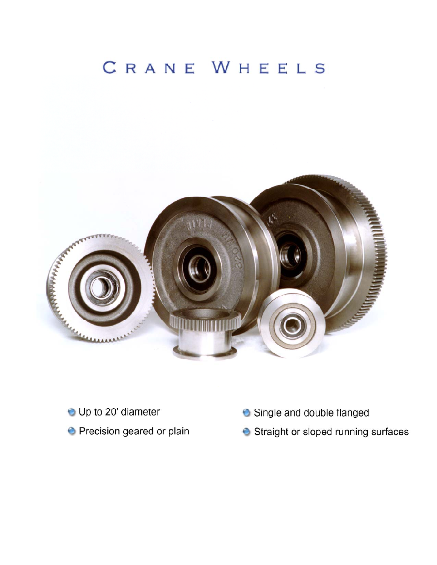# CRANE WHEELS



- **O** Up to 20' diameter
- **O** Precision geared or plain
- Single and double flanged
- Straight or sloped running surfaces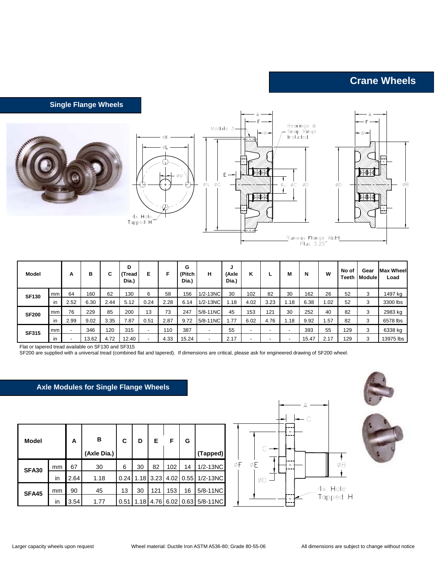## **Crane Wheels**

#### **Single Flange Wheels**





| <b>Model</b> |     | А    | в     | C    | D<br>(Tread<br>Dia.) | Е              | F    | G<br>(Pitch<br>Dia.) | н                        | u<br>(Axle<br>Dia.) | κ    | L                        | м                        | N     | W    | No of<br>Teeth | Gear<br><b>Module</b> | <b>Max Wheel</b><br>Load |
|--------------|-----|------|-------|------|----------------------|----------------|------|----------------------|--------------------------|---------------------|------|--------------------------|--------------------------|-------|------|----------------|-----------------------|--------------------------|
| <b>SF130</b> | mm  | 64   | 160   | 62   | 130                  | 6              | 58   | 156                  | $1/2 - 13NC$             | 30                  | 102  | 82                       | 30                       | 162   | 26   | 52             | 3                     | 1497 kg                  |
|              | in  | 2.52 | 6.30  | 2.44 | 5.12                 | 0.24           | 2.28 | 6.14                 | $1/2 - 13NC$             | 1.18                | 4.02 | 3.23                     | 1.18                     | 6.38  | .02  | 52             | 3                     | 3300 lbs                 |
| <b>SF200</b> | mm  | 76   | 229   | 85   | 200                  | 13             | 73   | 247                  | 5/8-11NC                 | 45                  | 153  | 121                      | 30                       | 252   | 40   | 82             | 3                     | 2983 kg                  |
|              | in  | 2.99 | 9.02  | 3.35 | 7.87                 | 0.51           | 2.87 | 9.72                 | 5/8-11NC                 | 1.77                | 6.02 | 4.76                     | .18                      | 9.92  | .57  | 82             | 3                     | 6578 lbs                 |
| <b>SF315</b> | mm  |      | 346   | 120  | 315                  | $\blacksquare$ | 110  | 387                  | $\overline{\phantom{0}}$ | 55                  | -    | $\overline{\phantom{a}}$ | $\overline{\phantom{0}}$ | 393   | 55   | 129            | 3                     | 6338 kg                  |
|              | in. |      | 13.62 | 4.72 | 12.40                | -              | 4.33 | 15.24                |                          | 2.17                |      | $\overline{\phantom{0}}$ | $\blacksquare$           | 15.47 | 2.17 | 129            | 3                     | 13975 lbs                |

Flat or tapered tread available on SF130 and SF315

SF200 are supplied with a universal tread (combined flat and tapered). If dimensions are critical, please ask for engineered drawing of SF200 wheel.

### **Axle Modules for Single Flange Wheels**

| <b>Model</b> |    | Α    | в<br>(Axle Dia.) | С    | D    | Е    | F    | G    | (Tapped)     |
|--------------|----|------|------------------|------|------|------|------|------|--------------|
| <b>SFA30</b> | mm | 67   | 30               | 6    | 30   | 82   | 102  | 14   | $1/2 - 13NC$ |
|              | in | 2.64 | 1.18             | 0.24 | 1.18 | 3.23 | 4.02 | 0.55 | $1/2 - 13NC$ |
| <b>SFA45</b> | mm | 90   | 45               | 13   | 30   | 121  | 153  | 16   | 5/8-11NC     |
|              | in | 3.54 | 1.77             | 0.51 | 1.18 | 4.76 | 6.02 | 0.63 | 5/8-11NC     |

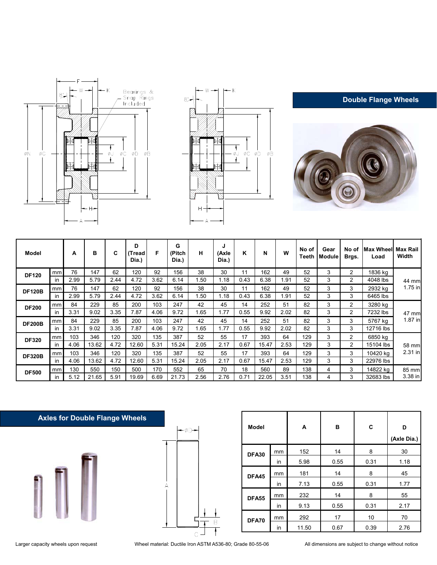





**Double Flange Wheels**

| Model         |    | A    | в     | C    | D<br>(Tread)<br>Dia.) | F    | G<br>(Pitch<br>Dia.) | н    | J<br>(Axle<br>Dia.) | Κ    | N     | W    | No of<br>Teeth | Gear<br><b>Module</b> | No of<br>Brgs. | <b>IMax Wheell Max Rail</b><br>Load | Width   |
|---------------|----|------|-------|------|-----------------------|------|----------------------|------|---------------------|------|-------|------|----------------|-----------------------|----------------|-------------------------------------|---------|
| <b>DF120</b>  | mm | 76   | 147   | 62   | 120                   | 92   | 156                  | 38   | 30                  | 11   | 162   | 49   | 52             | 3                     | $\overline{2}$ | 1836 kg                             |         |
|               | in | 2.99 | 5.79  | 2.44 | 4.72                  | 3.62 | 6.14                 | 1.50 | 1.18                | 0.43 | 6.38  | 1.91 | 52             | 3                     | 2              | 4048 lbs                            | 44 mm   |
| <b>DF120B</b> | mm | 76   | 147   | 62   | 120                   | 92   | 156                  | 38   | 30                  | 11   | 162   | 49   | 52             | 3                     | 3              | 2932 kg                             | 1.75 in |
|               | ın | 2.99 | 5.79  | 2.44 | 4.72                  | 3.62 | 6.14                 | 1.50 | 1.18                | 0.43 | 6.38  | 1.91 | 52             | 3                     | 3              | 6465 lbs                            |         |
| <b>DF200</b>  | mm | 84   | 229   | 85   | 200                   | 103  | 247                  | 42   | 45                  | 14   | 252   | 51   | 82             | 3                     | 2              | 3280 kg                             |         |
|               | in | 3.31 | 9.02  | 3.35 | 7.87                  | 4.06 | 9.72                 | 1.65 | 1.77                | 0.55 | 9.92  | 2.02 | 82             | 3                     | $\overline{2}$ | 7232 lbs                            | 47 mm   |
| <b>DF200B</b> | mm | 84   | 229   | 85   | 200                   | 103  | 247                  | 42   | 45                  | 14   | 252   | 51   | 82             | 3                     | 3              | 5767 kg                             | 1.87 in |
|               | in | 3.31 | 9.02  | 3.35 | 7.87                  | 4.06 | 9.72                 | 1.65 | 1.77                | 0.55 | 9.92  | 2.02 | 82             | 3                     | 3              | 12716 lbs                           |         |
| <b>DF320</b>  | mm | 103  | 346   | 120  | 320                   | 135  | 387                  | 52   | 55                  | 17   | 393   | 64   | 129            | 3                     | $\overline{2}$ | 6850 kg                             |         |
|               | in | 4.06 | 13.62 | 4.72 | 12.60                 | 5.31 | 15.24                | 2.05 | 2.17                | 0.67 | 15.47 | 2.53 | 129            | 3                     | 2              | 15104 lbs                           | 58 mm   |
| <b>DF320B</b> | mm | 103  | 346   | 120  | 320                   | 135  | 387                  | 52   | 55                  | 17   | 393   | 64   | 129            | 3                     | 3              | 10420 kg                            | 2.31 in |
|               | in | 4.06 | 13.62 | 4.72 | 12.60                 | 5.31 | 15.24                | 2.05 | 2.17                | 0.67 | 15.47 | 2.53 | 129            | 3                     | 3              | 22976 lbs                           |         |
| <b>DF500</b>  | mm | 130  | 550   | 150  | 500                   | 170  | 552                  | 65   | 70                  | 18   | 560   | 89   | 138            | 4                     | 3              | 14822 kg                            | 85 mm   |
|               | in | 5.12 | 21.65 | 5.91 | 19.69                 | 6.69 | 21.73                | 2.56 | 2.76                | 0.71 | 22.05 | 3.51 | 138            | 4                     | 3              | 32683 lbs                           | 3.38 in |

## **Axles for Double Flange Wheels**





| <b>Model</b> |    | A     | в    | C    | D<br>(Axle Dia.) |
|--------------|----|-------|------|------|------------------|
| <b>DFA30</b> | mm | 152   | 14   | 8    | 30               |
|              | in | 5.98  | 0.55 | 0.31 | 1.18             |
| DFA45        | mm | 181   | 14   | 8    | 45               |
|              | in | 7.13  | 0.55 | 0.31 | 1.77             |
| <b>DFA55</b> | mm | 232   | 14   | 8    | 55               |
|              | in | 9.13  | 0.55 | 0.31 | 2.17             |
| DFA70        | mm | 292   | 17   | 10   | 70               |
|              | in | 11.50 | 0.67 | 0.39 | 2.76             |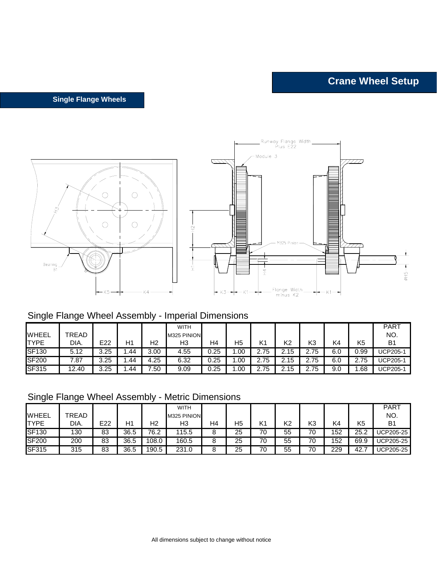**Single Flange Wheels**



## Single Flange Wheel Assembly - Imperial Dimensions

| <b>WHEEL</b> | TREAD |      |     |      | <b>WITH</b><br>M325 PINION |      |     |              |      |                |     |      | <b>PART</b><br>NO. |
|--------------|-------|------|-----|------|----------------------------|------|-----|--------------|------|----------------|-----|------|--------------------|
| <b>TYPE</b>  | DIA.  | E22  | H1  | Н2   | H3                         | H4   | H5  | K1           | K2   | K3             | K4  | K5   | B <sub>1</sub>     |
| <b>SF130</b> | 5.12  | 3.25 | .44 | 3.00 | 4.55                       | 0.25 | .00 | 75<br>$\sim$ | 2.15 | 75             | 6.0 | 0.99 | UCP205-1           |
| <b>SF200</b> | ∵87   | 3.25 | .44 | 4.25 | 6.32                       | 0.25 | .00 | 2.75         | 2.15 | 75<br><u>.</u> | 6.0 | 2.75 | <b>UCP205-1</b>    |
| <b>SF315</b> | 12.40 | 3.25 | .44 | 7.50 | 9.09                       | 0.25 | .00 | 2.75         | 2.15 | 75<br>$\sim$   | 9.0 | .68  | <b>UCP205-1</b>    |

## Single Flange Wheel Assembly - Metric Dimensions

| ັ            | ີ     |     |      |       |                            |                |    |    |                |    |     |      |                    |
|--------------|-------|-----|------|-------|----------------------------|----------------|----|----|----------------|----|-----|------|--------------------|
| <b>WHEEL</b> | TREAD |     |      |       | <b>WITH</b><br>M325 PINION |                |    |    |                |    |     |      | <b>PART</b><br>NO. |
| <b>ITYPE</b> | DIA.  | E22 | H1   | Н2    | HЗ                         | H <sub>4</sub> | H5 | K1 | K <sub>2</sub> | K3 | K4  | K5   | B <sub>1</sub>     |
| <b>SF130</b> | 130   | 83  | 36.5 | 76.2  | 15.5                       | o              | 25 | 70 | 55             | 70 | 152 | 25.2 | <b>UCP205-25</b>   |
| <b>SF200</b> | 200   | 83  | 36.5 | 108.0 | 160.5                      | Ö              | 25 | 70 | 55             | 70 | 152 | 69.9 | <b>UCP205-25</b>   |
| <b>SF315</b> | 315   | 83  | 36.5 | 190.5 | 231.0                      | О              | 25 | 70 | 55             | 70 | 229 | 42.  | <b>UCP205-25</b>   |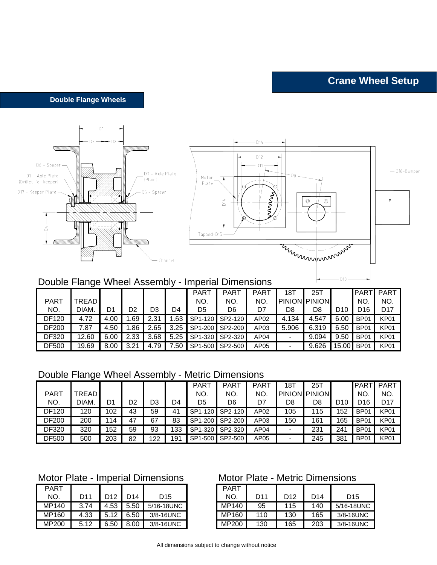**Double Flange Wheels**



| NO.   | DIAM. |      | D2    | D3   | D4   | D5 | D6              |      | D8    | D8    | D10        | D <sub>16</sub> | D17  |
|-------|-------|------|-------|------|------|----|-----------------|------|-------|-------|------------|-----------------|------|
| DF120 |       | 4.00 | .69   | 2.31 | .63  |    | SP1-120 SP2-120 | AP02 | 4.134 | 4.547 | 6.00       | <b>BP01</b>     | KP01 |
| DF200 | 7.87  | 4.50 | .86   | 2.65 | 3.25 |    | SP1-200 SP2-200 | AP03 | 5.906 | 6.319 | 6.50       | BP01            | KP01 |
| DF320 | 12.60 | 6.00 | 2.33  | 3.68 | 5.25 |    | SP1-320 SP2-320 | AP04 |       | 9.094 | 9.50       | <b>BP01</b>     | KP01 |
| DF500 | 19.69 | 8.00 | ົດ ດາ | .79  | 7.50 |    | SP1-500 SP2-500 | AP05 |       | 9.626 | 15.00 BP01 |                 | KP01 |

## Double Flange Wheel Assembly - Metric Dimensions

|             |                |     |    |     |     | <b>PART</b> | <b>PART</b> | <b>PART</b> | 18T           | 25T           |     | <b>PART</b>      | <b>PART</b> |
|-------------|----------------|-----|----|-----|-----|-------------|-------------|-------------|---------------|---------------|-----|------------------|-------------|
| <b>PART</b> | <b>FREAD I</b> |     |    |     |     | NO.         | NO.         | NO.         | <b>PINION</b> | <b>PINION</b> |     | NO               | NO.         |
| NO.         | DIAM.          | D1  | D2 | D3  | D4  | D5          | D6          | D7          | D8            | D8            | D10 | D16              | D17         |
| DF120       | 120            | 102 | 43 | 59  | 41  | SP1-120     | SP2-120     | AP02        | 105           | 115           | 152 | BP <sub>01</sub> | <b>KP01</b> |
| DF200       | 200            | 14  | 47 | 67  | 83  | SP1-200     | SP2-200     | AP03        | 150           | 161           | 165 | BP <sub>01</sub> | KP01        |
| DF320       | 320            | 152 | 59 | 93  | 133 | SP1-320     | SP2-320     | AP04        |               | 231           | 241 | BP <sub>01</sub> | KP01        |
| DF500       | 500            | 203 | 82 | 122 | 191 | SP1-500     | SP2-500     | AP05        |               | 245           | 381 | BP <sub>01</sub> | KP01        |

## Motor Plate - Imperial Dimensions Motor Plate - Metric Dimensions

| <b>PART</b> |                 |                       |                 |                 | PART  |
|-------------|-----------------|-----------------------|-----------------|-----------------|-------|
| NO.         | D <sub>11</sub> | D <sub>12</sub>       | D <sub>14</sub> | D <sub>15</sub> | NO.   |
| MP140       | 3.74            | 4.53                  | 5.50            | 5/16-18UNC      | MP140 |
| MP160       | 4.33            | $5.12$ $\blacksquare$ | 6.50            | 3/8-16UNC       | MP160 |
| MP200       | 5.12            | 6.50                  | 8.00            | 3/8-16UNC       | MP200 |

| <b>PART</b> |      |      |      |            | <b>PART</b> |                 |                 |     |                 |
|-------------|------|------|------|------------|-------------|-----------------|-----------------|-----|-----------------|
| NO.         | D11  | D12  | D14  | D15        | NO.         | D <sub>11</sub> | D <sub>12</sub> | D14 | D <sub>15</sub> |
| MP140       | 3.74 | 4.53 | 5.50 | 5/16-18UNC | MP140       | 95              | 115             | 140 | 5/16-18UNC      |
| MP160       | 4.33 | 5.12 | 6.50 | 3/8-16UNC  | MP160       | 110             | 130             | 165 | 3/8-16UNC       |
| MP200       | 5.12 | 6.50 | 8.00 | 3/8-16UNC  | MP200       | 130             | 165             | 203 | 3/8-16UNC       |